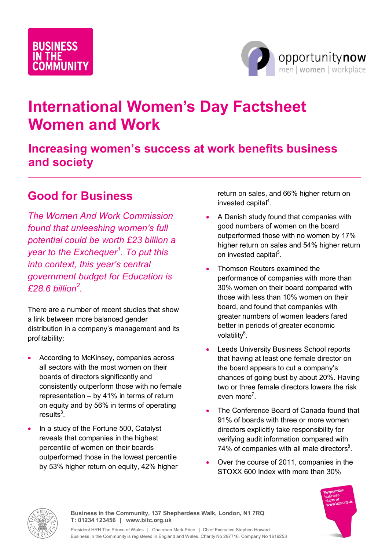# **BUSINESS MUNITY**



## **International Women's Day Factsheet Women and Work**

### **Increasing women's success at work benefits business and society**

### **Good for Business**

*The Women And Work Commission found that unleashing women's full potential could be worth £23 billion a year to the Exchequer<sup>1</sup> . To put this into context, this year's central government budget for Education is £28.6 billion<sup>2</sup> .*

There are a number of recent studies that show a link between more balanced gender distribution in a company's management and its profitability:

- According to McKinsey, companies across all sectors with the most women on their boards of directors significantly and consistently outperform those with no female boards of directors significantly and<br>consistently outperform those with no female<br>representation – by 41% in terms of return consistently outperform those with no female<br>representation – by 41% in terms of return<br>on equity and by 56% in terms of operating results<sup>3</sup>.
- In a study of the Fortune 500, Catalyst reveals that companies in the highest percentile of women on their boards outperformed those in the lowest percentile by 53% higher return on equity, 42% higher

return on sales, and 66% higher return on invested capital<sup>4</sup>.

- A Danish study found that companies with good numbers of women on the board outperformed those with no women by 17% higher return on sales and 54% higher return on invested capital<sup>5</sup>.
- Thomson Reuters examined the performance of companies with more than 30% women on their board compared with those with less than 10% women on their board, and found that companies with greater numbers of women leaders fared better in periods of greater economic volatility<sup>6</sup>.
- **•** Leeds University Business School reports that having at least one female director on the board appears to cut a company's chances of going bust by about 20%. Having two or three female directors lowers the risk even more<sup>7</sup>.
- The Conference Board of Canada found that 91% of boards with three or more women directors explicitly take responsibility for verifying audit information compared with 74% of companies with all male directors $8$ .
- Over the course of 2011, companies in the STOXX 600 Index with more than 30%





**Business in the Community, 137 Shepherdess Walk, London, N1 7RQ T: 01234 123456 | www.bitc.org.uk**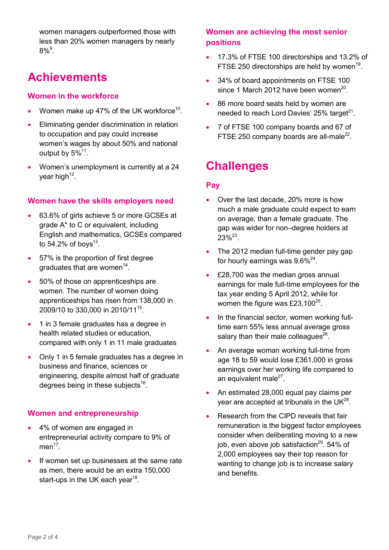women managers outperformed those with less than 20% women managers by nearly  $8\%$   $^9$ .

### **Achievements**

#### **Women in the workforce**

- Women make up 47% of the UK workforce<sup>10</sup>.
- Eliminating gender discrimination in relation to occupation and pay could increase women's wages by about 50% and national output by 5% $^{11}$ .
- Women's unemployment is currently at a 24 year high<sup>12</sup>.

#### **Women have the skills employers need**

- 63.6% of girls achieve 5 or more GCSEs at mental of the came on progressive<br>63.6% of girls achieve 5 or more GCSEs<br>grade A\* to C or equivalent, including grade A\* to C or equivalent, including<br>English and mathematics, GCSEs compared to 54.2% of boys<sup>13</sup>.
- 57% is the proportion of first degree graduates that are women<sup>14</sup>.
- 50% of those on apprenticeships are women. The number of women doing apprenticeships has risen from 138,000 in 2009/10 to 330,000 in 2010/11<sup>15</sup>.
- 1 in 3 female graduates has a degree in health related studies or education, compared with only 1 in 11 male graduates
- Only 1 in 5 female graduates has a degree in business and finance, sciences or engineering, despite almost half of graduate degrees being in these subjects<sup>16</sup>.

#### **Women and entrepreneurship**

- 4% of women are engaged in entrepreneurial activity compare to 9% of  $men^{17}$ .
- If women set up businesses at the same rate as men, there would be an extra 150,000 start-ups in the UK each year<sup>18</sup>.

#### **Women are achieving the most senior positions**

- 17.3% of FTSE 100 directorships and 13.2% of 17.3% of FTSE 100 directorships and 13.2% of<br>FTSE 250 directorships are held by women<sup>19</sup>. FTSE 250 directorships are held by women<sup>19</sup>.
- 34% of board appointments on FTSE 100 since 1 March 2012 have been women<sup>20</sup>.
- 86 more board seats held by women are 86 more board seats held by women are<br>needed to reach Lord Davies' 25% target<sup>21</sup>.
- 7 of FTSE 100 company boards and 67 of FISE 250 company boards and 67 of FISE 250 company boards are all-male<sup>22</sup>.

### **Challenges**

#### **Pay**

- Over the last decade, 20% more is how much a male graduate could expect to earn on average, than a female graduate. The gap was wider for non–degree holders at  $23\%^{23}$ .
- The 2012 median full-time gender pay gap for hourly earnings was  $9.6\%^{24}$ .
- £28,700 was the median gross annual earnings for male full-time employees for the £28,700 was the median gross annual<br>earnings for male full-time employees for<br>tax year ending 5 April 2012, while for women the figure was £23,100 $^{25}$ .
- In the financial sector, women working fulltime earn 55% less annual average gross salary than their male colleagues $^{26}$ .
- An average woman working full-time from age 18 to 59 would lose £361,000 in gross earnings over her working life compared to an equivalent male<sup>27</sup>.
- An estimated 28,000 equal pay claims per
- $y$ ear are accepted at tribunals in the UK<sup>28</sup>.<br>
Research from the CIPD reveals that fair remuneration is the biggest factor employees consider when deliberating moving to a new job, even above job satisfaction $^{29}$ . 54% of 2,000 employees say their top reason for wanting to change job is to increase salary and benefits.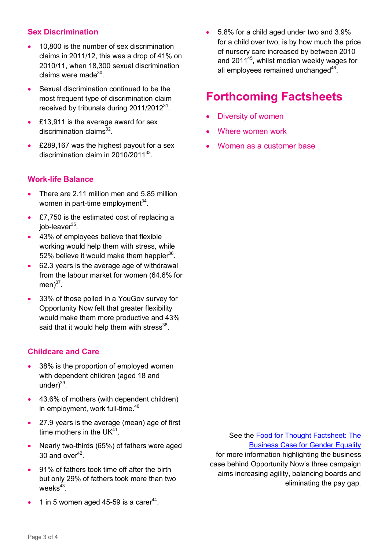#### **Sex Discrimination**

- 10,800 is the number of sex discrimination claims in 2011/12, this was a drop of 41% on 2010/11, when 18,300 sexual discrimination claims were made<sup>30</sup>.
- Sexual discrimination continued to be the most frequent type of discrimination claim • Sexual discrimination continued to be the<br>most frequent type of discrimination claim<br>received by tribunals during 2011/2012<sup>31</sup>.<br>• £13,911 is the average award for sex
- £13,911 is the average award for sex discrimination claims<sup>32</sup>.
- £289,167 was the highest payout for a sex discrimination claims<br>£289,167 was the highest payout for a<br>discrimination claim in 2010/2011<sup>33</sup>. discrimination claim in  $2010/2011^{33}$

#### **Work-life Balance**

- There are 2.11 million men and 5.85 million women in part-time employment<sup>34</sup>.
- £7,750 is the estimated cost of replacing a job-leaver<sup>35</sup>.
- 43% of employees believe that flexible working would help them with stress, while 52% believe it would make them happier<sup>36</sup>. % working would help them with stress, while<br>52% believe it would make them happier<sup>36</sup>.<br>62.3 years is the average age of withdrawal
- from the labour market for women (64.6% for men) $^{37}$ .
- 33% of those polled in a YouGov survey for Opportunity Now felt that greater flexibility would make them more productive and 43% said that it would help them with stress $^{38}$ .

#### **Childcare and Care**

- 38% is the proportion of employed women with dependent children (aged 18 and under)<sup>39</sup>.
- 43.6% of mothers (with dependent children) in employment, work full-time.<sup>40</sup>
- 27.9 years is the average (mean) age of first time mothers in the UK $^{41}$ .
- Nearly two-thirds (65%) of fathers were aged  $30$  and over $42$ .
- 91% of fathers took time off after the birth but only 29% of fathers took more than two weeks $^{43}\!$ . weeks<sup>43</sup>.<br> $\bullet$  1 in 5 women aged 45-59 is a carer<sup>44</sup>.
- 

 5.8% for a child aged under two and 3.9% for a child over two, is by how much the price of nursery care increased by between 2010 and 2011<sup>45</sup>, whilst median weekly wages for all employees remained unchanged<sup>46</sup>.

### **Forthcoming Factsheets**

- Diversity of women
- Where women work
- Women as a customer base

See the Food for Thought Factsheet: The Business Case for Gender Equality for more information highlighting the business case behind Opportunity Now's three campaign aims increasing agility, balancing boards and eliminating the pay gap.